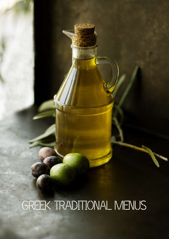# GREEK TRADITIONAL MENUS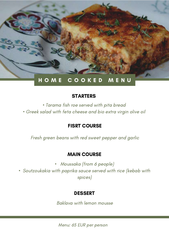

• Tarama fish roe served with pita bread

• Greek salad with feta cheese and bio extra virgin olive oil

# FISRT COURSE

Fresh green beans with red sweet pepper and garlic

# MAIN COURSE

- Moussaka (from 6 people)
- Soutzoukakia with paprika sauce served with rice (kebab with spices)

# DESSERT

Baklava with lemon mousse

Menu: 65 EUR per person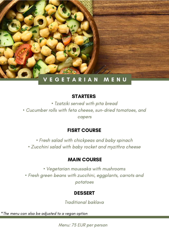

• Tzatziki served with pita bread • Cucumber rolls with feta cheese, sun-dried tomatoes, and capers

# FISRT COURSE

• Fresh salad with chickpeas and baby spinach • Zucchini salad with baby rocket and myzithra cheese

### MAIN COURSE

• Vegetarian moussaka with mushrooms • Fresh green beans with zucchini, eggplants, carrots and potatoes

### DESSERT

Traditional baklava

\*The menu can also be adjusted to a vegan option

Menu: 75 EUR per person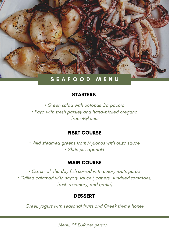

• Green salad with octopus Carpaccio • Fava with fresh parsley and hand-picked oregano from Mykonos

#### FISRT COURSE

• Wild steamed greens from Mykonos with ouzo sauce • Shrimps saganaki

#### MAIN COURSE

• Catch-of-the day fish served with celery roots purée • Grilled calamari with savory sauce ( capers, sundried tomatoes, fresh rosemary, and garlic)

#### DESSERT

Greek yogurt with seasonal fruits and Greek thyme honey

Menu: 95 EUR per person